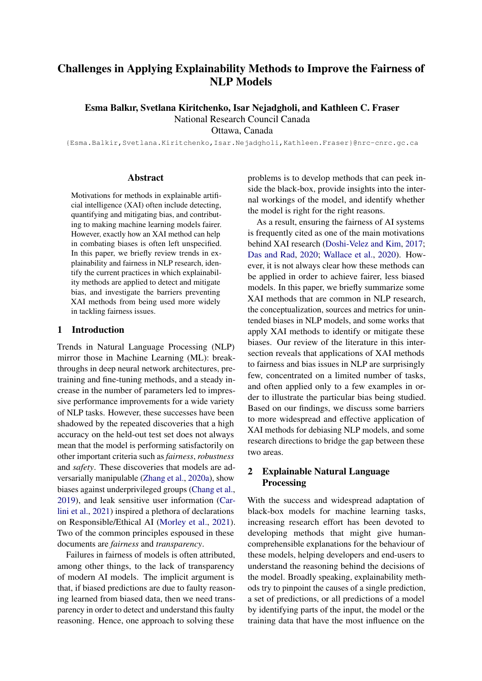# Challenges in Applying Explainability Methods to Improve the Fairness of NLP Models

Esma Balkır, Svetlana Kiritchenko, Isar Nejadgholi, and Kathleen C. Fraser

National Research Council Canada

Ottawa, Canada

{Esma.Balkir,Svetlana.Kiritchenko,Isar.Nejadgholi,Kathleen.Fraser}@nrc-cnrc.gc.ca

#### Abstract

Motivations for methods in explainable artificial intelligence (XAI) often include detecting, quantifying and mitigating bias, and contributing to making machine learning models fairer. However, exactly how an XAI method can help in combating biases is often left unspecified. In this paper, we briefly review trends in explainability and fairness in NLP research, identify the current practices in which explainability methods are applied to detect and mitigate bias, and investigate the barriers preventing XAI methods from being used more widely in tackling fairness issues.

#### 1 Introduction

Trends in Natural Language Processing (NLP) mirror those in Machine Learning (ML): breakthroughs in deep neural network architectures, pretraining and fine-tuning methods, and a steady increase in the number of parameters led to impressive performance improvements for a wide variety of NLP tasks. However, these successes have been shadowed by the repeated discoveries that a high accuracy on the held-out test set does not always mean that the model is performing satisfactorily on other important criteria such as *fairness*, *robustness* and *safety*. These discoveries that models are adversarially manipulable [\(Zhang et al.,](#page-12-0) [2020a\)](#page-12-0), show biases against underprivileged groups [\(Chang et al.,](#page-8-0) [2019\)](#page-8-0), and leak sensitive user information [\(Car](#page-8-1)[lini et al.,](#page-8-1) [2021\)](#page-8-1) inspired a plethora of declarations on Responsible/Ethical AI [\(Morley et al.,](#page-10-0) [2021\)](#page-10-0). Two of the common principles espoused in these documents are *fairness* and *transparency*.

Failures in fairness of models is often attributed, among other things, to the lack of transparency of modern AI models. The implicit argument is that, if biased predictions are due to faulty reasoning learned from biased data, then we need transparency in order to detect and understand this faulty reasoning. Hence, one approach to solving these

problems is to develop methods that can peek inside the black-box, provide insights into the internal workings of the model, and identify whether the model is right for the right reasons.

As a result, ensuring the fairness of AI systems is frequently cited as one of the main motivations behind XAI research [\(Doshi-Velez and Kim,](#page-9-0) [2017;](#page-9-0) [Das and Rad,](#page-9-1) [2020;](#page-9-1) [Wallace et al.,](#page-11-0) [2020\)](#page-11-0). However, it is not always clear how these methods can be applied in order to achieve fairer, less biased models. In this paper, we briefly summarize some XAI methods that are common in NLP research, the conceptualization, sources and metrics for unintended biases in NLP models, and some works that apply XAI methods to identify or mitigate these biases. Our review of the literature in this intersection reveals that applications of XAI methods to fairness and bias issues in NLP are surprisingly few, concentrated on a limited number of tasks, and often applied only to a few examples in order to illustrate the particular bias being studied. Based on our findings, we discuss some barriers to more widespread and effective application of XAI methods for debiasing NLP models, and some research directions to bridge the gap between these two areas.

# <span id="page-0-0"></span>2 Explainable Natural Language Processing

With the success and widespread adaptation of black-box models for machine learning tasks, increasing research effort has been devoted to developing methods that might give humancomprehensible explanations for the behaviour of these models, helping developers and end-users to understand the reasoning behind the decisions of the model. Broadly speaking, explainability methods try to pinpoint the causes of a single prediction, a set of predictions, or all predictions of a model by identifying parts of the input, the model or the training data that have the most influence on the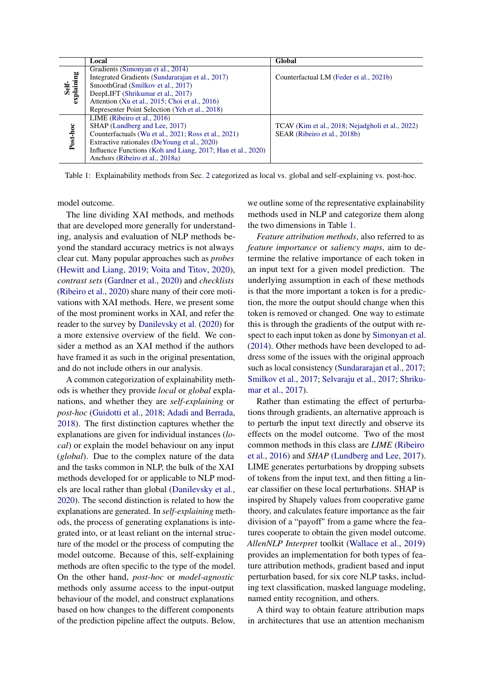<span id="page-1-0"></span>

|                     | Local                                                       | Global                                           |
|---------------------|-------------------------------------------------------------|--------------------------------------------------|
| Self-<br>explaining | Gradients (Simonyan et al., 2014)                           |                                                  |
|                     | Integrated Gradients (Sundararajan et al., 2017)            | Counterfactual LM (Feder et al., 2021b)          |
|                     | SmoothGrad (Smilkov et al., 2017)                           |                                                  |
|                     | DeepLIFT (Shrikumar et al., 2017)                           |                                                  |
|                     | Attention (Xu et al., 2015; Choi et al., 2016)              |                                                  |
|                     | Representer Point Selection (Yeh et al., 2018)              |                                                  |
| Post-hoc            | LIME (Ribeiro et al., 2016)                                 |                                                  |
|                     | SHAP (Lundberg and Lee, 2017)                               | TCAV (Kim et al., 2018; Nejadgholi et al., 2022) |
|                     | Counterfactuals (Wu et al., 2021; Ross et al., 2021)        | SEAR (Ribeiro et al., 2018b)                     |
|                     | Extractive rationales (DeYoung et al., 2020)                |                                                  |
|                     | Influence Functions (Koh and Liang, 2017; Han et al., 2020) |                                                  |
|                     | Anchors (Ribeiro et al., 2018a)                             |                                                  |

Table 1: Explainability methods from Sec. [2](#page-0-0) categorized as local vs. global and self-explaining vs. post-hoc.

model outcome.

The line dividing XAI methods, and methods that are developed more generally for understanding, analysis and evaluation of NLP methods beyond the standard accuracy metrics is not always clear cut. Many popular approaches such as *probes* [\(Hewitt and Liang,](#page-9-5) [2019;](#page-9-5) [Voita and Titov,](#page-11-9) [2020\)](#page-11-9), *contrast sets* [\(Gardner et al.,](#page-9-6) [2020\)](#page-9-6) and *checklists* [\(Ribeiro et al.,](#page-11-10) [2020\)](#page-11-10) share many of their core motivations with XAI methods. Here, we present some of the most prominent works in XAI, and refer the reader to the survey by [Danilevsky et al.](#page-9-7) [\(2020\)](#page-9-7) for a more extensive overview of the field. We consider a method as an XAI method if the authors have framed it as such in the original presentation, and do not include others in our analysis.

A common categorization of explainability methods is whether they provide *local* or *global* explanations, and whether they are *self-explaining* or *post-hoc* [\(Guidotti et al.,](#page-9-8) [2018;](#page-9-8) [Adadi and Berrada,](#page-7-0) [2018\)](#page-7-0). The first distinction captures whether the explanations are given for individual instances (*local*) or explain the model behaviour on any input (*global*). Due to the complex nature of the data and the tasks common in NLP, the bulk of the XAI methods developed for or applicable to NLP models are local rather than global [\(Danilevsky et al.,](#page-9-7) [2020\)](#page-9-7). The second distinction is related to how the explanations are generated. In *self-explaining* methods, the process of generating explanations is integrated into, or at least reliant on the internal structure of the model or the process of computing the model outcome. Because of this, self-explaining methods are often specific to the type of the model. On the other hand, *post-hoc* or *model-agnostic* methods only assume access to the input-output behaviour of the model, and construct explanations based on how changes to the different components of the prediction pipeline affect the outputs. Below, we outline some of the representative explainability methods used in NLP and categorize them along the two dimensions in Table [1.](#page-1-0)

*Feature attribution methods*, also referred to as *feature importance* or *saliency maps*, aim to determine the relative importance of each token in an input text for a given model prediction. The underlying assumption in each of these methods is that the more important a token is for a prediction, the more the output should change when this token is removed or changed. One way to estimate this is through the gradients of the output with respect to each input token as done by [Simonyan et al.](#page-11-1) [\(2014\)](#page-11-1). Other methods have been developed to address some of the issues with the original approach such as local consistency [\(Sundararajan et al.,](#page-11-2) [2017;](#page-11-2) [Smilkov et al.,](#page-11-3) [2017;](#page-11-3) [Selvaraju et al.,](#page-11-11) [2017;](#page-11-11) [Shriku](#page-11-4)[mar et al.,](#page-11-4) [2017\)](#page-11-4).

Rather than estimating the effect of perturbations through gradients, an alternative approach is to perturb the input text directly and observe its effects on the model outcome. Two of the most common methods in this class are *LIME* [\(Ribeiro](#page-11-5) [et al.,](#page-11-5) [2016\)](#page-11-5) and *SHAP* [\(Lundberg and Lee,](#page-10-1) [2017\)](#page-10-1). LIME generates perturbations by dropping subsets of tokens from the input text, and then fitting a linear classifier on these local perturbations. SHAP is inspired by Shapely values from cooperative game theory, and calculates feature importance as the fair division of a "payoff" from a game where the features cooperate to obtain the given model outcome. *AllenNLP Interpret* toolkit [\(Wallace et al.,](#page-12-4) [2019\)](#page-12-4) provides an implementation for both types of feature attribution methods, gradient based and input perturbation based, for six core NLP tasks, including text classification, masked language modeling, named entity recognition, and others.

A third way to obtain feature attribution maps in architectures that use an attention mechanism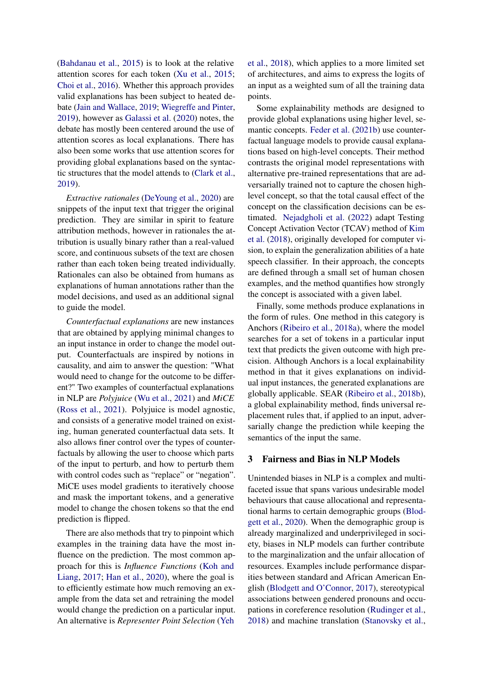[\(Bahdanau et al.,](#page-8-3) [2015\)](#page-8-3) is to look at the relative attention scores for each token [\(Xu et al.,](#page-12-1) [2015;](#page-12-1) [Choi et al.,](#page-8-2) [2016\)](#page-8-2). Whether this approach provides valid explanations has been subject to heated debate [\(Jain and Wallace,](#page-10-5) [2019;](#page-10-5) [Wiegreffe and Pinter,](#page-12-5) [2019\)](#page-12-5), however as [Galassi et al.](#page-9-9) [\(2020\)](#page-9-9) notes, the debate has mostly been centered around the use of attention scores as local explanations. There has also been some works that use attention scores for providing global explanations based on the syntactic structures that the model attends to [\(Clark et al.,](#page-9-10) [2019\)](#page-9-10).

*Extractive rationales* [\(DeYoung et al.,](#page-9-3) [2020\)](#page-9-3) are snippets of the input text that trigger the original prediction. They are similar in spirit to feature attribution methods, however in rationales the attribution is usually binary rather than a real-valued score, and continuous subsets of the text are chosen rather than each token being treated individually. Rationales can also be obtained from humans as explanations of human annotations rather than the model decisions, and used as an additional signal to guide the model.

*Counterfactual explanations* are new instances that are obtained by applying minimal changes to an input instance in order to change the model output. Counterfactuals are inspired by notions in causality, and aim to answer the question: "What would need to change for the outcome to be different?" Two examples of counterfactual explanations in NLP are *Polyjuice* [\(Wu et al.,](#page-12-3) [2021\)](#page-12-3) and *MiCE* [\(Ross et al.,](#page-11-6) [2021\)](#page-11-6). Polyjuice is model agnostic, and consists of a generative model trained on existing, human generated counterfactual data sets. It also allows finer control over the types of counterfactuals by allowing the user to choose which parts of the input to perturb, and how to perturb them with control codes such as "replace" or "negation". MiCE uses model gradients to iteratively choose and mask the important tokens, and a generative model to change the chosen tokens so that the end prediction is flipped.

There are also methods that try to pinpoint which examples in the training data have the most influence on the prediction. The most common approach for this is *Influence Functions* [\(Koh and](#page-10-4) [Liang,](#page-10-4) [2017;](#page-10-4) [Han et al.,](#page-9-4) [2020\)](#page-9-4), where the goal is to efficiently estimate how much removing an example from the data set and retraining the model would change the prediction on a particular input. An alternative is *Representer Point Selection* [\(Yeh](#page-12-2)

[et al.,](#page-12-2) [2018\)](#page-12-2), which applies to a more limited set of architectures, and aims to express the logits of an input as a weighted sum of all the training data points.

Some explainability methods are designed to provide global explanations using higher level, semantic concepts. [Feder et al.](#page-9-2) [\(2021b\)](#page-9-2) use counterfactual language models to provide causal explanations based on high-level concepts. Their method contrasts the original model representations with alternative pre-trained representations that are adversarially trained not to capture the chosen highlevel concept, so that the total causal effect of the concept on the classification decisions can be estimated. [Nejadgholi et al.](#page-10-3) [\(2022\)](#page-10-3) adapt Testing Concept Activation Vector (TCAV) method of [Kim](#page-10-2) [et al.](#page-10-2) [\(2018\)](#page-10-2), originally developed for computer vision, to explain the generalization abilities of a hate speech classifier. In their approach, the concepts are defined through a small set of human chosen examples, and the method quantifies how strongly the concept is associated with a given label.

Finally, some methods produce explanations in the form of rules. One method in this category is Anchors [\(Ribeiro et al.,](#page-11-8) [2018a\)](#page-11-8), where the model searches for a set of tokens in a particular input text that predicts the given outcome with high precision. Although Anchors is a local explainability method in that it gives explanations on individual input instances, the generated explanations are globally applicable. SEAR [\(Ribeiro et al.,](#page-11-7) [2018b\)](#page-11-7), a global explainability method, finds universal replacement rules that, if applied to an input, adversarially change the prediction while keeping the semantics of the input the same.

## 3 Fairness and Bias in NLP Models

Unintended biases in NLP is a complex and multifaceted issue that spans various undesirable model behaviours that cause allocational and representational harms to certain demographic groups [\(Blod](#page-8-4)[gett et al.,](#page-8-4) [2020\)](#page-8-4). When the demographic group is already marginalized and underprivileged in society, biases in NLP models can further contribute to the marginalization and the unfair allocation of resources. Examples include performance disparities between standard and African American English [\(Blodgett and O'Connor,](#page-8-5) [2017\)](#page-8-5), stereotypical associations between gendered pronouns and occupations in coreference resolution [\(Rudinger et al.,](#page-11-12) [2018\)](#page-11-12) and machine translation [\(Stanovsky et al.,](#page-11-13)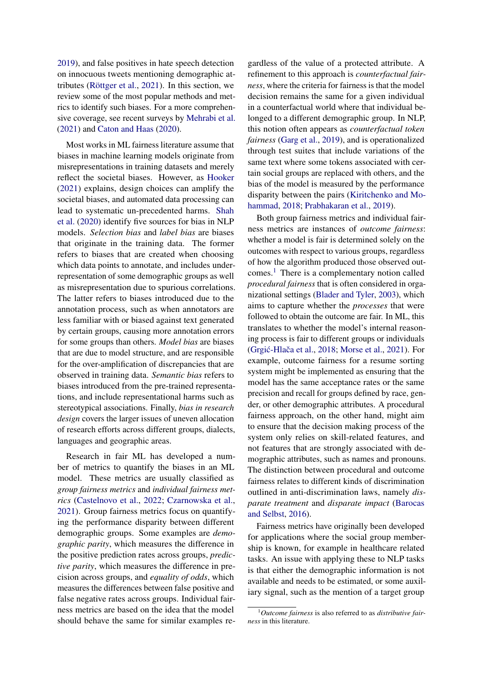[2019\)](#page-11-13), and false positives in hate speech detection on innocuous tweets mentioning demographic attributes [\(Röttger et al.,](#page-11-14) [2021\)](#page-11-14). In this section, we review some of the most popular methods and metrics to identify such biases. For a more comprehensive coverage, see recent surveys by [Mehrabi et al.](#page-10-6) [\(2021\)](#page-10-6) and [Caton and Haas](#page-8-6) [\(2020\)](#page-8-6).

Most works in ML fairness literature assume that biases in machine learning models originate from misrepresentations in training datasets and merely reflect the societal biases. However, as [Hooker](#page-9-11) [\(2021\)](#page-9-11) explains, design choices can amplify the societal biases, and automated data processing can lead to systematic un-precedented harms. [Shah](#page-11-15) [et al.](#page-11-15) [\(2020\)](#page-11-15) identify five sources for bias in NLP models. *Selection bias* and *label bias* are biases that originate in the training data. The former refers to biases that are created when choosing which data points to annotate, and includes underrepresentation of some demographic groups as well as misrepresentation due to spurious correlations. The latter refers to biases introduced due to the annotation process, such as when annotators are less familiar with or biased against text generated by certain groups, causing more annotation errors for some groups than others. *Model bias* are biases that are due to model structure, and are responsible for the over-amplification of discrepancies that are observed in training data. *Semantic bias* refers to biases introduced from the pre-trained representations, and include representational harms such as stereotypical associations. Finally, *bias in research design* covers the larger issues of uneven allocation of research efforts across different groups, dialects, languages and geographic areas.

Research in fair ML has developed a number of metrics to quantify the biases in an ML model. These metrics are usually classified as *group fairness metrics* and *individual fairness metrics* [\(Castelnovo et al.,](#page-8-7) [2022;](#page-8-7) [Czarnowska et al.,](#page-9-12) [2021\)](#page-9-12). Group fairness metrics focus on quantifying the performance disparity between different demographic groups. Some examples are *demographic parity*, which measures the difference in the positive prediction rates across groups, *predictive parity*, which measures the difference in precision across groups, and *equality of odds*, which measures the differences between false positive and false negative rates across groups. Individual fairness metrics are based on the idea that the model should behave the same for similar examples regardless of the value of a protected attribute. A refinement to this approach is *counterfactual fairness*, where the criteria for fairness is that the model decision remains the same for a given individual in a counterfactual world where that individual belonged to a different demographic group. In NLP, this notion often appears as *counterfactual token fairness* [\(Garg et al.,](#page-9-13) [2019\)](#page-9-13), and is operationalized through test suites that include variations of the same text where some tokens associated with certain social groups are replaced with others, and the bias of the model is measured by the performance disparity between the pairs [\(Kiritchenko and Mo](#page-10-7)[hammad,](#page-10-7) [2018;](#page-10-7) [Prabhakaran et al.,](#page-10-8) [2019\)](#page-10-8).

Both group fairness metrics and individual fairness metrics are instances of *outcome fairness*: whether a model is fair is determined solely on the outcomes with respect to various groups, regardless of how the algorithm produced those observed outcomes.[1](#page-3-0) There is a complementary notion called *procedural fairness* that is often considered in organizational settings [\(Blader and Tyler,](#page-8-8) [2003\)](#page-8-8), which aims to capture whether the *processes* that were followed to obtain the outcome are fair. In ML, this translates to whether the model's internal reasoning process is fair to different groups or individuals (Grgić-Hlača et al., [2018;](#page-9-14) [Morse et al.,](#page-10-9) [2021\)](#page-10-9). For example, outcome fairness for a resume sorting system might be implemented as ensuring that the model has the same acceptance rates or the same precision and recall for groups defined by race, gender, or other demographic attributes. A procedural fairness approach, on the other hand, might aim to ensure that the decision making process of the system only relies on skill-related features, and not features that are strongly associated with demographic attributes, such as names and pronouns. The distinction between procedural and outcome fairness relates to different kinds of discrimination outlined in anti-discrimination laws, namely *disparate treatment* and *disparate impact* [\(Barocas](#page-8-9) [and Selbst,](#page-8-9) [2016\)](#page-8-9).

Fairness metrics have originally been developed for applications where the social group membership is known, for example in healthcare related tasks. An issue with applying these to NLP tasks is that either the demographic information is not available and needs to be estimated, or some auxiliary signal, such as the mention of a target group

<span id="page-3-0"></span><sup>1</sup>*Outcome fairness* is also referred to as *distributive fairness* in this literature.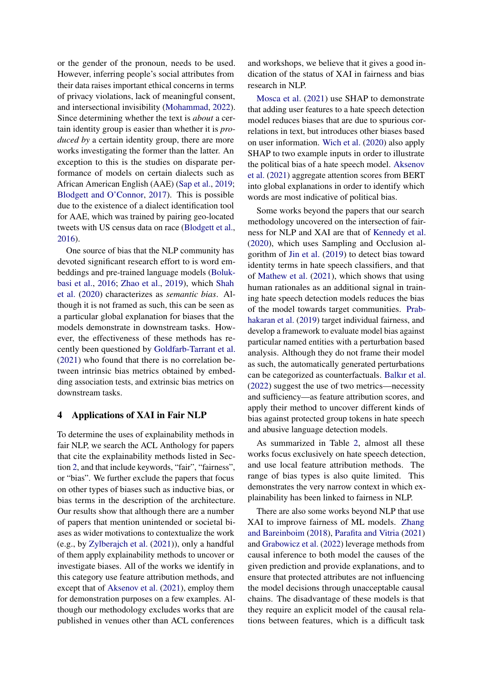or the gender of the pronoun, needs to be used. However, inferring people's social attributes from their data raises important ethical concerns in terms of privacy violations, lack of meaningful consent, and intersectional invisibility [\(Mohammad,](#page-10-10) [2022\)](#page-10-10). Since determining whether the text is *about* a certain identity group is easier than whether it is *produced by* a certain identity group, there are more works investigating the former than the latter. An exception to this is the studies on disparate performance of models on certain dialects such as African American English (AAE) [\(Sap et al.,](#page-11-16) [2019;](#page-11-16) [Blodgett and O'Connor,](#page-8-5) [2017\)](#page-8-5). This is possible due to the existence of a dialect identification tool for AAE, which was trained by pairing geo-located tweets with US census data on race [\(Blodgett et al.,](#page-8-10) [2016\)](#page-8-10).

One source of bias that the NLP community has devoted significant research effort to is word embeddings and pre-trained language models [\(Boluk](#page-8-11)[basi et al.,](#page-8-11) [2016;](#page-8-11) [Zhao et al.,](#page-12-6) [2019\)](#page-12-6), which [Shah](#page-11-15) [et al.](#page-11-15) [\(2020\)](#page-11-15) characterizes as *semantic bias*. Although it is not framed as such, this can be seen as a particular global explanation for biases that the models demonstrate in downstream tasks. However, the effectiveness of these methods has recently been questioned by [Goldfarb-Tarrant et al.](#page-9-15) [\(2021\)](#page-9-15) who found that there is no correlation between intrinsic bias metrics obtained by embedding association tests, and extrinsic bias metrics on downstream tasks.

#### <span id="page-4-0"></span>4 Applications of XAI in Fair NLP

To determine the uses of explainability methods in fair NLP, we search the ACL Anthology for papers that cite the explainability methods listed in Section [2,](#page-0-0) and that include keywords, "fair", "fairness", or "bias". We further exclude the papers that focus on other types of biases such as inductive bias, or bias terms in the description of the architecture. Our results show that although there are a number of papers that mention unintended or societal biases as wider motivations to contextualize the work (e.g., by [Zylberajch et al.](#page-12-7) [\(2021\)](#page-12-7)), only a handful of them apply explainability methods to uncover or investigate biases. All of the works we identify in this category use feature attribution methods, and except that of [Aksenov et al.](#page-8-12) [\(2021\)](#page-8-12), employ them for demonstration purposes on a few examples. Although our methodology excludes works that are published in venues other than ACL conferences

and workshops, we believe that it gives a good indication of the status of XAI in fairness and bias research in NLP.

[Mosca et al.](#page-10-11) [\(2021\)](#page-10-11) use SHAP to demonstrate that adding user features to a hate speech detection model reduces biases that are due to spurious correlations in text, but introduces other biases based on user information. [Wich et al.](#page-12-8) [\(2020\)](#page-12-8) also apply SHAP to two example inputs in order to illustrate the political bias of a hate speech model. [Aksenov](#page-8-12) [et al.](#page-8-12) [\(2021\)](#page-8-12) aggregate attention scores from BERT into global explanations in order to identify which words are most indicative of political bias.

Some works beyond the papers that our search methodology uncovered on the intersection of fairness for NLP and XAI are that of [Kennedy et al.](#page-10-12) [\(2020\)](#page-10-12), which uses Sampling and Occlusion algorithm of [Jin et al.](#page-10-13) [\(2019\)](#page-10-13) to detect bias toward identity terms in hate speech classifiers, and that of [Mathew et al.](#page-10-14) [\(2021\)](#page-10-14), which shows that using human rationales as an additional signal in training hate speech detection models reduces the bias of the model towards target communities. [Prab](#page-10-8)[hakaran et al.](#page-10-8) [\(2019\)](#page-10-8) target individual fairness, and develop a framework to evaluate model bias against particular named entities with a perturbation based analysis. Although they do not frame their model as such, the automatically generated perturbations can be categorized as counterfactuals. [Balkır et al.](#page-8-13) [\(2022\)](#page-8-13) suggest the use of two metrics—necessity and sufficiency—as feature attribution scores, and apply their method to uncover different kinds of bias against protected group tokens in hate speech and abusive language detection models.

As summarized in Table [2,](#page-5-0) almost all these works focus exclusively on hate speech detection, and use local feature attribution methods. The range of bias types is also quite limited. This demonstrates the very narrow context in which explainability has been linked to fairness in NLP.

There are also some works beyond NLP that use XAI to improve fairness of ML models. [Zhang](#page-12-9) [and Bareinboim](#page-12-9) [\(2018\)](#page-12-9), [Parafita and Vitria](#page-10-15) [\(2021\)](#page-10-15) and [Grabowicz et al.](#page-9-16) [\(2022\)](#page-9-16) leverage methods from causal inference to both model the causes of the given prediction and provide explanations, and to ensure that protected attributes are not influencing the model decisions through unacceptable causal chains. The disadvantage of these models is that they require an explicit model of the causal relations between features, which is a difficult task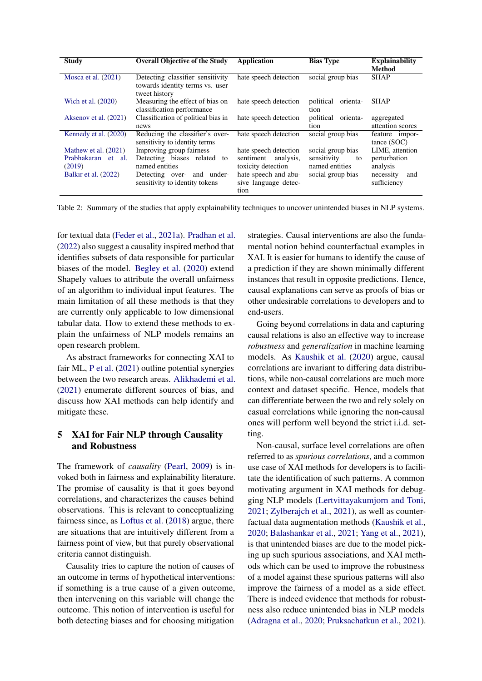<span id="page-5-0"></span>

| <b>Study</b>                 | <b>Overall Objective of the Study</b>                                                | Application                                          | <b>Bias Type</b>                    | <b>Explainability</b><br><b>Method</b> |
|------------------------------|--------------------------------------------------------------------------------------|------------------------------------------------------|-------------------------------------|----------------------------------------|
| Mosca et al. $(2021)$        | Detecting classifier sensitivity<br>towards identity terms vs. user<br>tweet history | hate speech detection                                | social group bias                   | <b>SHAP</b>                            |
| Wich et al. (2020)           | Measuring the effect of bias on<br>classification performance                        | hate speech detection                                | political<br>orienta-<br>tion       | <b>SHAP</b>                            |
| Aksenov et al. (2021)        | Classification of political bias in<br>news                                          | hate speech detection                                | political<br>orienta-<br>tion       | aggregated<br>attention scores         |
| Kennedy et al. (2020)        | Reducing the classifier's over-<br>sensitivity to identity terms                     | hate speech detection                                | social group bias                   | feature impor-<br>tance (SOC)          |
| Mathew et al. $(2021)$       | Improving group fairness                                                             | hate speech detection                                | social group bias                   | LIME, attention                        |
| Prabhakaran et al.<br>(2019) | Detecting biases related to<br>named entities                                        | sentiment analysis,<br>toxicity detection            | sensitivity<br>to<br>named entities | perturbation<br>analysis               |
| <b>Balkir et al.</b> (2022)  | Detecting over- and under-<br>sensitivity to identity tokens                         | hate speech and abu-<br>sive language detec-<br>tion | social group bias                   | necessity<br>and<br>sufficiency        |

Table 2: Summary of the studies that apply explainability techniques to uncover unintended biases in NLP systems.

for textual data [\(Feder et al.,](#page-9-17) [2021a\)](#page-9-17). [Pradhan et al.](#page-11-17) [\(2022\)](#page-11-17) also suggest a causality inspired method that identifies subsets of data responsible for particular biases of the model. [Begley et al.](#page-8-14) [\(2020\)](#page-8-14) extend Shapely values to attribute the overall unfairness of an algorithm to individual input features. The main limitation of all these methods is that they are currently only applicable to low dimensional tabular data. How to extend these methods to explain the unfairness of NLP models remains an open research problem.

As abstract frameworks for connecting XAI to fair ML, [P et al.](#page-10-16) [\(2021\)](#page-10-16) outline potential synergies between the two research areas. [Alikhademi et al.](#page-8-15) [\(2021\)](#page-8-15) enumerate different sources of bias, and discuss how XAI methods can help identify and mitigate these.

# <span id="page-5-1"></span>5 XAI for Fair NLP through Causality and Robustness

The framework of *causality* [\(Pearl,](#page-10-17) [2009\)](#page-10-17) is invoked both in fairness and explainability literature. The promise of causality is that it goes beyond correlations, and characterizes the causes behind observations. This is relevant to conceptualizing fairness since, as [Loftus et al.](#page-10-18) [\(2018\)](#page-10-18) argue, there are situations that are intuitively different from a fairness point of view, but that purely observational criteria cannot distinguish.

Causality tries to capture the notion of causes of an outcome in terms of hypothetical interventions: if something is a true cause of a given outcome, then intervening on this variable will change the outcome. This notion of intervention is useful for both detecting biases and for choosing mitigation

strategies. Causal interventions are also the fundamental notion behind counterfactual examples in XAI. It is easier for humans to identify the cause of a prediction if they are shown minimally different instances that result in opposite predictions. Hence, causal explanations can serve as proofs of bias or other undesirable correlations to developers and to end-users.

Going beyond correlations in data and capturing causal relations is also an effective way to increase *robustness* and *generalization* in machine learning models. As [Kaushik et al.](#page-10-19) [\(2020\)](#page-10-19) argue, causal correlations are invariant to differing data distributions, while non-causal correlations are much more context and dataset specific. Hence, models that can differentiate between the two and rely solely on casual correlations while ignoring the non-causal ones will perform well beyond the strict i.i.d. setting.

Non-causal, surface level correlations are often referred to as *spurious correlations*, and a common use case of XAI methods for developers is to facilitate the identification of such patterns. A common motivating argument in XAI methods for debugging NLP models [\(Lertvittayakumjorn and Toni,](#page-10-20) [2021;](#page-10-20) [Zylberajch et al.,](#page-12-7) [2021\)](#page-12-7), as well as counterfactual data augmentation methods [\(Kaushik et al.,](#page-10-19) [2020;](#page-10-19) [Balashankar et al.,](#page-8-16) [2021;](#page-8-16) [Yang et al.,](#page-12-10) [2021\)](#page-12-10), is that unintended biases are due to the model picking up such spurious associations, and XAI methods which can be used to improve the robustness of a model against these spurious patterns will also improve the fairness of a model as a side effect. There is indeed evidence that methods for robustness also reduce unintended bias in NLP models [\(Adragna et al.,](#page-8-17) [2020;](#page-8-17) [Pruksachatkun et al.,](#page-11-18) [2021\)](#page-11-18).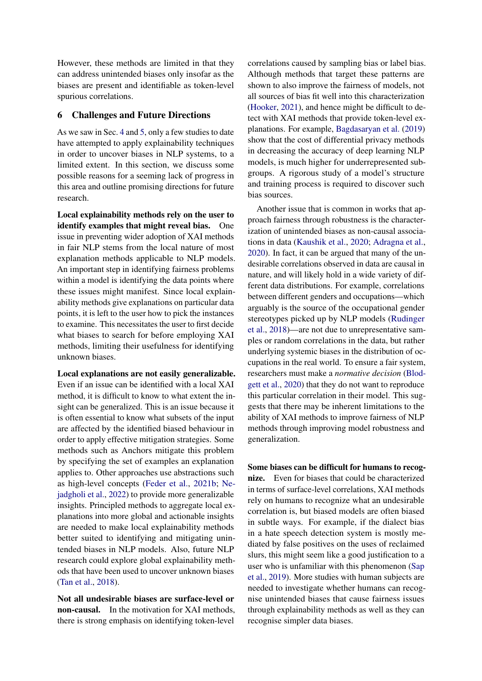However, these methods are limited in that they can address unintended biases only insofar as the biases are present and identifiable as token-level spurious correlations.

#### 6 Challenges and Future Directions

As we saw in Sec. [4](#page-4-0) and [5,](#page-5-1) only a few studies to date have attempted to apply explainability techniques in order to uncover biases in NLP systems, to a limited extent. In this section, we discuss some possible reasons for a seeming lack of progress in this area and outline promising directions for future research.

Local explainability methods rely on the user to identify examples that might reveal bias. One issue in preventing wider adoption of XAI methods in fair NLP stems from the local nature of most explanation methods applicable to NLP models. An important step in identifying fairness problems within a model is identifying the data points where these issues might manifest. Since local explainability methods give explanations on particular data points, it is left to the user how to pick the instances to examine. This necessitates the user to first decide what biases to search for before employing XAI methods, limiting their usefulness for identifying unknown biases.

Local explanations are not easily generalizable. Even if an issue can be identified with a local XAI method, it is difficult to know to what extent the insight can be generalized. This is an issue because it is often essential to know what subsets of the input are affected by the identified biased behaviour in order to apply effective mitigation strategies. Some methods such as Anchors mitigate this problem by specifying the set of examples an explanation applies to. Other approaches use abstractions such as high-level concepts [\(Feder et al.,](#page-9-2) [2021b;](#page-9-2) [Ne](#page-10-3)[jadgholi et al.,](#page-10-3) [2022\)](#page-10-3) to provide more generalizable insights. Principled methods to aggregate local explanations into more global and actionable insights are needed to make local explainability methods better suited to identifying and mitigating unintended biases in NLP models. Also, future NLP research could explore global explainability methods that have been used to uncover unknown biases [\(Tan et al.,](#page-11-19) [2018\)](#page-11-19).

Not all undesirable biases are surface-level or non-causal. In the motivation for XAI methods, there is strong emphasis on identifying token-level

correlations caused by sampling bias or label bias. Although methods that target these patterns are shown to also improve the fairness of models, not all sources of bias fit well into this characterization [\(Hooker,](#page-9-11) [2021\)](#page-9-11), and hence might be difficult to detect with XAI methods that provide token-level explanations. For example, [Bagdasaryan et al.](#page-8-18) [\(2019\)](#page-8-18) show that the cost of differential privacy methods in decreasing the accuracy of deep learning NLP models, is much higher for underrepresented subgroups. A rigorous study of a model's structure and training process is required to discover such bias sources.

Another issue that is common in works that approach fairness through robustness is the characterization of unintended biases as non-causal associations in data [\(Kaushik et al.,](#page-10-19) [2020;](#page-10-19) [Adragna et al.,](#page-8-17) [2020\)](#page-8-17). In fact, it can be argued that many of the undesirable correlations observed in data are causal in nature, and will likely hold in a wide variety of different data distributions. For example, correlations between different genders and occupations—which arguably is the source of the occupational gender stereotypes picked up by NLP models [\(Rudinger](#page-11-12) [et al.,](#page-11-12) [2018\)](#page-11-12)—are not due to unrepresentative samples or random correlations in the data, but rather underlying systemic biases in the distribution of occupations in the real world. To ensure a fair system, researchers must make a *normative decision* [\(Blod](#page-8-4)[gett et al.,](#page-8-4) [2020\)](#page-8-4) that they do not want to reproduce this particular correlation in their model. This suggests that there may be inherent limitations to the ability of XAI methods to improve fairness of NLP methods through improving model robustness and generalization.

Some biases can be difficult for humans to recognize. Even for biases that could be characterized in terms of surface-level correlations, XAI methods rely on humans to recognize what an undesirable correlation is, but biased models are often biased in subtle ways. For example, if the dialect bias in a hate speech detection system is mostly mediated by false positives on the uses of reclaimed slurs, this might seem like a good justification to a user who is unfamiliar with this phenomenon [\(Sap](#page-11-16) [et al.,](#page-11-16) [2019\)](#page-11-16). More studies with human subjects are needed to investigate whether humans can recognise unintended biases that cause fairness issues through explainability methods as well as they can recognise simpler data biases.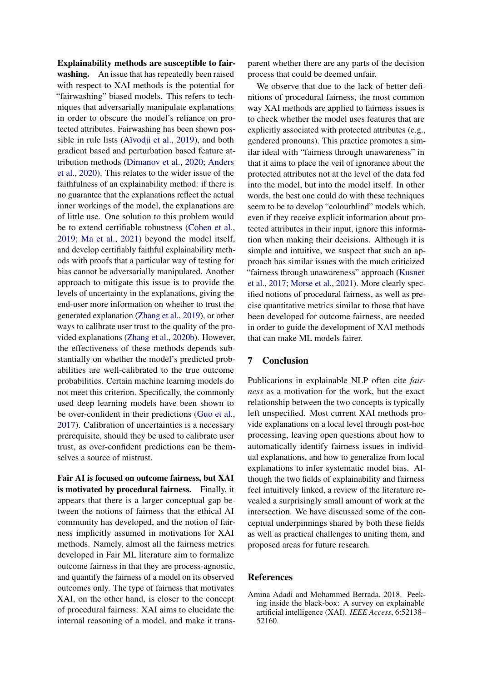Explainability methods are susceptible to fairwashing. An issue that has repeatedly been raised with respect to XAI methods is the potential for "fairwashing" biased models. This refers to techniques that adversarially manipulate explanations in order to obscure the model's reliance on protected attributes. Fairwashing has been shown possible in rule lists [\(Aïvodji et al.,](#page-8-19) [2019\)](#page-8-19), and both gradient based and perturbation based feature attribution methods [\(Dimanov et al.,](#page-9-18) [2020;](#page-9-18) [Anders](#page-8-20) [et al.,](#page-8-20) [2020\)](#page-8-20). This relates to the wider issue of the faithfulness of an explainability method: if there is no guarantee that the explanations reflect the actual inner workings of the model, the explanations are of little use. One solution to this problem would be to extend certifiable robustness [\(Cohen et al.,](#page-9-19) [2019;](#page-9-19) [Ma et al.,](#page-10-21) [2021\)](#page-10-21) beyond the model itself, and develop certifiably faithful explainability methods with proofs that a particular way of testing for bias cannot be adversarially manipulated. Another approach to mitigate this issue is to provide the levels of uncertainty in the explanations, giving the end-user more information on whether to trust the generated explanation [\(Zhang et al.,](#page-12-11) [2019\)](#page-12-11), or other ways to calibrate user trust to the quality of the provided explanations [\(Zhang et al.,](#page-12-12) [2020b\)](#page-12-12). However, the effectiveness of these methods depends substantially on whether the model's predicted probabilities are well-calibrated to the true outcome probabilities. Certain machine learning models do not meet this criterion. Specifically, the commonly used deep learning models have been shown to be over-confident in their predictions [\(Guo et al.,](#page-9-20) [2017\)](#page-9-20). Calibration of uncertainties is a necessary prerequisite, should they be used to calibrate user trust, as over-confident predictions can be themselves a source of mistrust.

Fair AI is focused on outcome fairness, but XAI is motivated by procedural fairness. Finally, it appears that there is a larger conceptual gap between the notions of fairness that the ethical AI community has developed, and the notion of fairness implicitly assumed in motivations for XAI methods. Namely, almost all the fairness metrics developed in Fair ML literature aim to formalize outcome fairness in that they are process-agnostic, and quantify the fairness of a model on its observed outcomes only. The type of fairness that motivates XAI, on the other hand, is closer to the concept of procedural fairness: XAI aims to elucidate the internal reasoning of a model, and make it transparent whether there are any parts of the decision process that could be deemed unfair.

We observe that due to the lack of better definitions of procedural fairness, the most common way XAI methods are applied to fairness issues is to check whether the model uses features that are explicitly associated with protected attributes (e.g., gendered pronouns). This practice promotes a similar ideal with "fairness through unawareness" in that it aims to place the veil of ignorance about the protected attributes not at the level of the data fed into the model, but into the model itself. In other words, the best one could do with these techniques seem to be to develop "colourblind" models which, even if they receive explicit information about protected attributes in their input, ignore this information when making their decisions. Although it is simple and intuitive, we suspect that such an approach has similar issues with the much criticized "fairness through unawareness" approach [\(Kusner](#page-10-22) [et al.,](#page-10-22) [2017;](#page-10-22) [Morse et al.,](#page-10-9) [2021\)](#page-10-9). More clearly specified notions of procedural fairness, as well as precise quantitative metrics similar to those that have been developed for outcome fairness, are needed in order to guide the development of XAI methods that can make ML models fairer.

#### 7 Conclusion

Publications in explainable NLP often cite *fairness* as a motivation for the work, but the exact relationship between the two concepts is typically left unspecified. Most current XAI methods provide explanations on a local level through post-hoc processing, leaving open questions about how to automatically identify fairness issues in individual explanations, and how to generalize from local explanations to infer systematic model bias. Although the two fields of explainability and fairness feel intuitively linked, a review of the literature revealed a surprisingly small amount of work at the intersection. We have discussed some of the conceptual underpinnings shared by both these fields as well as practical challenges to uniting them, and proposed areas for future research.

### References

<span id="page-7-0"></span>Amina Adadi and Mohammed Berrada. 2018. Peeking inside the black-box: A survey on explainable artificial intelligence (XAI). *IEEE Access*, 6:52138– 52160.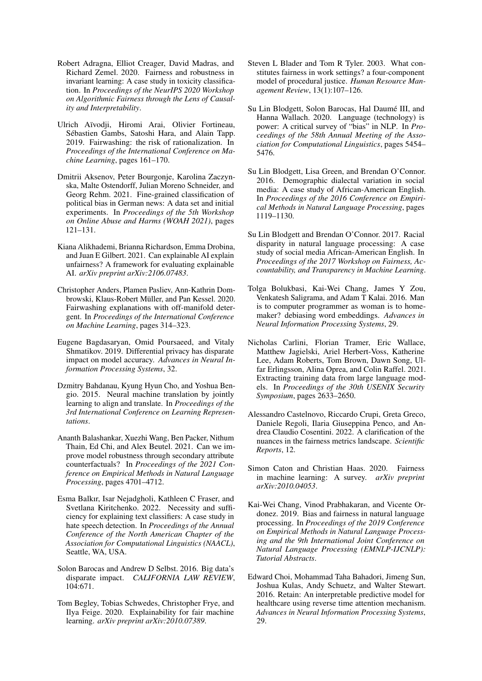- <span id="page-8-17"></span>Robert Adragna, Elliot Creager, David Madras, and Richard Zemel. 2020. Fairness and robustness in invariant learning: A case study in toxicity classification. In *Proceedings of the NeurIPS 2020 Workshop on Algorithmic Fairness through the Lens of Causality and Interpretability*.
- <span id="page-8-19"></span>Ulrich Aïvodji, Hiromi Arai, Olivier Fortineau, Sébastien Gambs, Satoshi Hara, and Alain Tapp. 2019. Fairwashing: the risk of rationalization. In *Proceedings of the International Conference on Machine Learning*, pages 161–170.
- <span id="page-8-12"></span>Dmitrii Aksenov, Peter Bourgonje, Karolina Zaczynska, Malte Ostendorff, Julian Moreno Schneider, and Georg Rehm. 2021. Fine-grained classification of political bias in German news: A data set and initial experiments. In *Proceedings of the 5th Workshop on Online Abuse and Harms (WOAH 2021)*, pages 121–131.
- <span id="page-8-15"></span>Kiana Alikhademi, Brianna Richardson, Emma Drobina, and Juan E Gilbert. 2021. Can explainable AI explain unfairness? A framework for evaluating explainable AI. *arXiv preprint arXiv:2106.07483*.
- <span id="page-8-20"></span>Christopher Anders, Plamen Pasliev, Ann-Kathrin Dombrowski, Klaus-Robert Müller, and Pan Kessel. 2020. Fairwashing explanations with off-manifold detergent. In *Proceedings of the International Conference on Machine Learning*, pages 314–323.
- <span id="page-8-18"></span>Eugene Bagdasaryan, Omid Poursaeed, and Vitaly Shmatikov. 2019. Differential privacy has disparate impact on model accuracy. *Advances in Neural Information Processing Systems*, 32.
- <span id="page-8-3"></span>Dzmitry Bahdanau, Kyung Hyun Cho, and Yoshua Bengio. 2015. Neural machine translation by jointly learning to align and translate. In *Proceedings of the 3rd International Conference on Learning Representations*.
- <span id="page-8-16"></span>Ananth Balashankar, Xuezhi Wang, Ben Packer, Nithum Thain, Ed Chi, and Alex Beutel. 2021. Can we improve model robustness through secondary attribute counterfactuals? In *Proceedings of the 2021 Conference on Empirical Methods in Natural Language Processing*, pages 4701–4712.
- <span id="page-8-13"></span>Esma Balkır, Isar Nejadgholi, Kathleen C Fraser, and Svetlana Kiritchenko. 2022. Necessity and sufficiency for explaining text classifiers: A case study in hate speech detection. In *Proceedings of the Annual Conference of the North American Chapter of the Association for Computational Linguistics (NAACL)*, Seattle, WA, USA.
- <span id="page-8-9"></span>Solon Barocas and Andrew D Selbst. 2016. Big data's disparate impact. *CALIFORNIA LAW REVIEW*, 104:671.
- <span id="page-8-14"></span>Tom Begley, Tobias Schwedes, Christopher Frye, and Ilya Feige. 2020. Explainability for fair machine learning. *arXiv preprint arXiv:2010.07389*.
- <span id="page-8-8"></span>Steven L Blader and Tom R Tyler. 2003. What constitutes fairness in work settings? a four-component model of procedural justice. *Human Resource Management Review*, 13(1):107–126.
- <span id="page-8-4"></span>Su Lin Blodgett, Solon Barocas, Hal Daumé III, and Hanna Wallach. 2020. Language (technology) is power: A critical survey of "bias" in NLP. In *Proceedings of the 58th Annual Meeting of the Association for Computational Linguistics*, pages 5454– 5476.
- <span id="page-8-10"></span>Su Lin Blodgett, Lisa Green, and Brendan O'Connor. 2016. Demographic dialectal variation in social media: A case study of African-American English. In *Proceedings of the 2016 Conference on Empirical Methods in Natural Language Processing*, pages 1119–1130.
- <span id="page-8-5"></span>Su Lin Blodgett and Brendan O'Connor. 2017. Racial disparity in natural language processing: A case study of social media African-American English. In *Proceedings of the 2017 Workshop on Fairness, Accountability, and Transparency in Machine Learning*.
- <span id="page-8-11"></span>Tolga Bolukbasi, Kai-Wei Chang, James Y Zou, Venkatesh Saligrama, and Adam T Kalai. 2016. Man is to computer programmer as woman is to homemaker? debiasing word embeddings. *Advances in Neural Information Processing Systems*, 29.
- <span id="page-8-1"></span>Nicholas Carlini, Florian Tramer, Eric Wallace, Matthew Jagielski, Ariel Herbert-Voss, Katherine Lee, Adam Roberts, Tom Brown, Dawn Song, Ulfar Erlingsson, Alina Oprea, and Colin Raffel. 2021. Extracting training data from large language models. In *Proceedings of the 30th USENIX Security Symposium*, pages 2633–2650.
- <span id="page-8-7"></span>Alessandro Castelnovo, Riccardo Crupi, Greta Greco, Daniele Regoli, Ilaria Giuseppina Penco, and Andrea Claudio Cosentini. 2022. A clarification of the nuances in the fairness metrics landscape. *Scientific Reports*, 12.
- <span id="page-8-6"></span>Simon Caton and Christian Haas. 2020. Fairness in machine learning: A survey. *arXiv preprint arXiv:2010.04053*.
- <span id="page-8-0"></span>Kai-Wei Chang, Vinod Prabhakaran, and Vicente Ordonez. 2019. Bias and fairness in natural language processing. In *Proceedings of the 2019 Conference on Empirical Methods in Natural Language Processing and the 9th International Joint Conference on Natural Language Processing (EMNLP-IJCNLP): Tutorial Abstracts*.
- <span id="page-8-2"></span>Edward Choi, Mohammad Taha Bahadori, Jimeng Sun, Joshua Kulas, Andy Schuetz, and Walter Stewart. 2016. Retain: An interpretable predictive model for healthcare using reverse time attention mechanism. *Advances in Neural Information Processing Systems*, 29.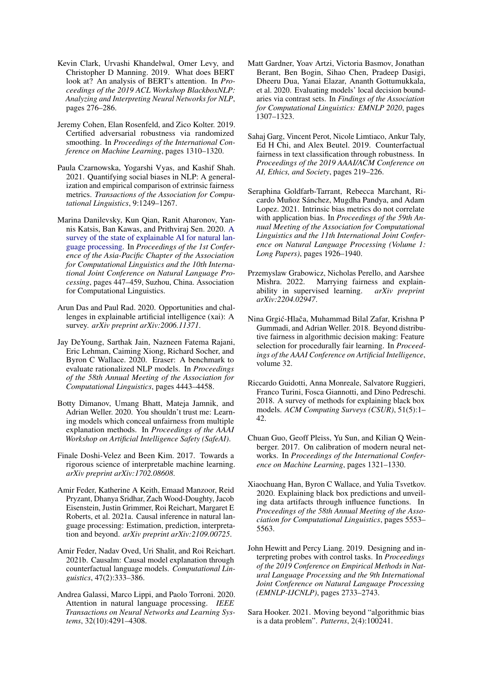- <span id="page-9-10"></span>Kevin Clark, Urvashi Khandelwal, Omer Levy, and Christopher D Manning. 2019. What does BERT look at? An analysis of BERT's attention. In *Proceedings of the 2019 ACL Workshop BlackboxNLP: Analyzing and Interpreting Neural Networks for NLP*, pages 276–286.
- <span id="page-9-19"></span>Jeremy Cohen, Elan Rosenfeld, and Zico Kolter. 2019. Certified adversarial robustness via randomized smoothing. In *Proceedings of the International Conference on Machine Learning*, pages 1310–1320.
- <span id="page-9-12"></span>Paula Czarnowska, Yogarshi Vyas, and Kashif Shah. 2021. Quantifying social biases in NLP: A generalization and empirical comparison of extrinsic fairness metrics. *Transactions of the Association for Computational Linguistics*, 9:1249–1267.
- <span id="page-9-7"></span>Marina Danilevsky, Kun Qian, Ranit Aharonov, Yannis Katsis, Ban Kawas, and Prithviraj Sen. 2020. [A](https://aclanthology.org/2020.aacl-main.46) [survey of the state of explainable AI for natural lan](https://aclanthology.org/2020.aacl-main.46)[guage processing.](https://aclanthology.org/2020.aacl-main.46) In *Proceedings of the 1st Conference of the Asia-Pacific Chapter of the Association for Computational Linguistics and the 10th International Joint Conference on Natural Language Processing*, pages 447–459, Suzhou, China. Association for Computational Linguistics.
- <span id="page-9-1"></span>Arun Das and Paul Rad. 2020. Opportunities and challenges in explainable artificial intelligence (xai): A survey. *arXiv preprint arXiv:2006.11371*.
- <span id="page-9-3"></span>Jay DeYoung, Sarthak Jain, Nazneen Fatema Rajani, Eric Lehman, Caiming Xiong, Richard Socher, and Byron C Wallace. 2020. Eraser: A benchmark to evaluate rationalized NLP models. In *Proceedings of the 58th Annual Meeting of the Association for Computational Linguistics*, pages 4443–4458.
- <span id="page-9-18"></span>Botty Dimanov, Umang Bhatt, Mateja Jamnik, and Adrian Weller. 2020. You shouldn't trust me: Learning models which conceal unfairness from multiple explanation methods. In *Proceedings of the AAAI Workshop on Artificial Intelligence Safety (SafeAI)*.
- <span id="page-9-0"></span>Finale Doshi-Velez and Been Kim. 2017. Towards a rigorous science of interpretable machine learning. *arXiv preprint arXiv:1702.08608*.
- <span id="page-9-17"></span>Amir Feder, Katherine A Keith, Emaad Manzoor, Reid Pryzant, Dhanya Sridhar, Zach Wood-Doughty, Jacob Eisenstein, Justin Grimmer, Roi Reichart, Margaret E Roberts, et al. 2021a. Causal inference in natural language processing: Estimation, prediction, interpretation and beyond. *arXiv preprint arXiv:2109.00725*.
- <span id="page-9-2"></span>Amir Feder, Nadav Oved, Uri Shalit, and Roi Reichart. 2021b. Causalm: Causal model explanation through counterfactual language models. *Computational Linguistics*, 47(2):333–386.
- <span id="page-9-9"></span>Andrea Galassi, Marco Lippi, and Paolo Torroni. 2020. Attention in natural language processing. *IEEE Transactions on Neural Networks and Learning Systems*, 32(10):4291–4308.
- <span id="page-9-6"></span>Matt Gardner, Yoav Artzi, Victoria Basmov, Jonathan Berant, Ben Bogin, Sihao Chen, Pradeep Dasigi, Dheeru Dua, Yanai Elazar, Ananth Gottumukkala, et al. 2020. Evaluating models' local decision boundaries via contrast sets. In *Findings of the Association for Computational Linguistics: EMNLP 2020*, pages 1307–1323.
- <span id="page-9-13"></span>Sahaj Garg, Vincent Perot, Nicole Limtiaco, Ankur Taly, Ed H Chi, and Alex Beutel. 2019. Counterfactual fairness in text classification through robustness. In *Proceedings of the 2019 AAAI/ACM Conference on AI, Ethics, and Society*, pages 219–226.
- <span id="page-9-15"></span>Seraphina Goldfarb-Tarrant, Rebecca Marchant, Ricardo Muñoz Sánchez, Mugdha Pandya, and Adam Lopez. 2021. Intrinsic bias metrics do not correlate with application bias. In *Proceedings of the 59th Annual Meeting of the Association for Computational Linguistics and the 11th International Joint Conference on Natural Language Processing (Volume 1: Long Papers)*, pages 1926–1940.
- <span id="page-9-16"></span>Przemyslaw Grabowicz, Nicholas Perello, and Aarshee Mishra. 2022. Marrying fairness and explainability in supervised learning. *arXiv preprint arXiv:2204.02947*.
- <span id="page-9-14"></span>Nina Grgić-Hlača, Muhammad Bilal Zafar, Krishna P Gummadi, and Adrian Weller. 2018. Beyond distributive fairness in algorithmic decision making: Feature selection for procedurally fair learning. In *Proceedings of the AAAI Conference on Artificial Intelligence*, volume 32.
- <span id="page-9-8"></span>Riccardo Guidotti, Anna Monreale, Salvatore Ruggieri, Franco Turini, Fosca Giannotti, and Dino Pedreschi. 2018. A survey of methods for explaining black box models. *ACM Computing Surveys (CSUR)*, 51(5):1– 42.
- <span id="page-9-20"></span>Chuan Guo, Geoff Pleiss, Yu Sun, and Kilian Q Weinberger. 2017. On calibration of modern neural networks. In *Proceedings of the International Conference on Machine Learning*, pages 1321–1330.
- <span id="page-9-4"></span>Xiaochuang Han, Byron C Wallace, and Yulia Tsvetkov. 2020. Explaining black box predictions and unveiling data artifacts through influence functions. In *Proceedings of the 58th Annual Meeting of the Association for Computational Linguistics*, pages 5553– 5563.
- <span id="page-9-5"></span>John Hewitt and Percy Liang. 2019. Designing and interpreting probes with control tasks. In *Proceedings of the 2019 Conference on Empirical Methods in Natural Language Processing and the 9th International Joint Conference on Natural Language Processing (EMNLP-IJCNLP)*, pages 2733–2743.
- <span id="page-9-11"></span>Sara Hooker. 2021. Moving beyond "algorithmic bias is a data problem". *Patterns*, 2(4):100241.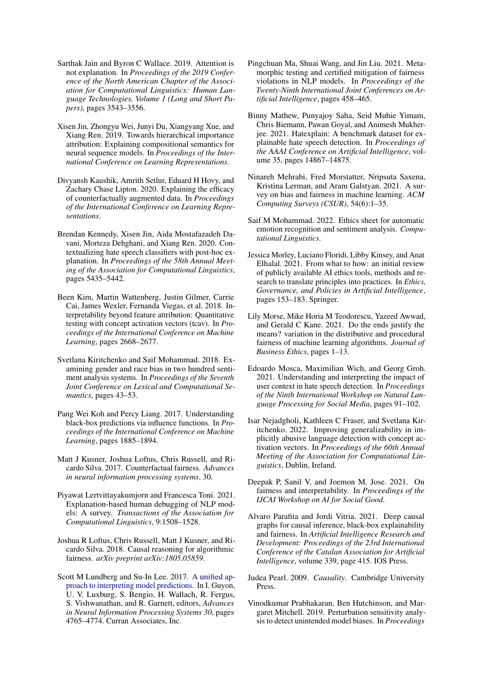- <span id="page-10-5"></span>Sarthak Jain and Byron C Wallace. 2019. Attention is not explanation. In *Proceedings of the 2019 Conference of the North American Chapter of the Association for Computational Linguistics: Human Language Technologies, Volume 1 (Long and Short Papers)*, pages 3543–3556.
- <span id="page-10-13"></span>Xisen Jin, Zhongyu Wei, Junyi Du, Xiangyang Xue, and Xiang Ren. 2019. Towards hierarchical importance attribution: Explaining compositional semantics for neural sequence models. In *Proceedings of the International Conference on Learning Representations*.
- <span id="page-10-19"></span>Divyansh Kaushik, Amrith Setlur, Eduard H Hovy, and Zachary Chase Lipton. 2020. Explaining the efficacy of counterfactually augmented data. In *Proceedings of the International Conference on Learning Representations*.
- <span id="page-10-12"></span>Brendan Kennedy, Xisen Jin, Aida Mostafazadeh Davani, Morteza Dehghani, and Xiang Ren. 2020. Contextualizing hate speech classifiers with post-hoc explanation. In *Proceedings of the 58th Annual Meeting of the Association for Computational Linguistics*, pages 5435–5442.
- <span id="page-10-2"></span>Been Kim, Martin Wattenberg, Justin Gilmer, Carrie Cai, James Wexler, Fernanda Viegas, et al. 2018. Interpretability beyond feature attribution: Quantitative testing with concept activation vectors (tcav). In *Proceedings of the International Conference on Machine Learning*, pages 2668–2677.
- <span id="page-10-7"></span>Svetlana Kiritchenko and Saif Mohammad. 2018. Examining gender and race bias in two hundred sentiment analysis systems. In *Proceedings of the Seventh Joint Conference on Lexical and Computational Semantics*, pages 43–53.
- <span id="page-10-4"></span>Pang Wei Koh and Percy Liang. 2017. Understanding black-box predictions via influence functions. In *Proceedings of the International Conference on Machine Learning*, pages 1885–1894.
- <span id="page-10-22"></span>Matt J Kusner, Joshua Loftus, Chris Russell, and Ricardo Silva. 2017. Counterfactual fairness. *Advances in neural information processing systems*, 30.
- <span id="page-10-20"></span>Piyawat Lertvittayakumjorn and Francesca Toni. 2021. Explanation-based human debugging of NLP models: A survey. *Transactions of the Association for Computational Linguistics*, 9:1508–1528.
- <span id="page-10-18"></span>Joshua R Loftus, Chris Russell, Matt J Kusner, and Ricardo Silva. 2018. Causal reasoning for algorithmic fairness. *arXiv preprint arXiv:1805.05859*.
- <span id="page-10-1"></span>Scott M Lundberg and Su-In Lee. 2017. [A unified ap](http://papers.nips.cc/paper/7062-a-unified-approach-to-interpreting-model-predictions.pdf)[proach to interpreting model predictions.](http://papers.nips.cc/paper/7062-a-unified-approach-to-interpreting-model-predictions.pdf) In I. Guyon, U. V. Luxburg, S. Bengio, H. Wallach, R. Fergus, S. Vishwanathan, and R. Garnett, editors, *Advances in Neural Information Processing Systems 30*, pages 4765–4774. Curran Associates, Inc.
- <span id="page-10-21"></span>Pingchuan Ma, Shuai Wang, and Jin Liu. 2021. Metamorphic testing and certified mitigation of fairness violations in NLP models. In *Proceedings of the Twenty-Ninth International Joint Conferences on Artificial Intelligence*, pages 458–465.
- <span id="page-10-14"></span>Binny Mathew, Punyajoy Saha, Seid Muhie Yimam, Chris Biemann, Pawan Goyal, and Animesh Mukherjee. 2021. Hatexplain: A benchmark dataset for explainable hate speech detection. In *Proceedings of the AAAI Conference on Artificial Intelligence*, volume 35, pages 14867–14875.
- <span id="page-10-6"></span>Ninareh Mehrabi, Fred Morstatter, Nripsuta Saxena, Kristina Lerman, and Aram Galstyan. 2021. A survey on bias and fairness in machine learning. *ACM Computing Surveys (CSUR)*, 54(6):1–35.
- <span id="page-10-10"></span>Saif M Mohammad. 2022. Ethics sheet for automatic emotion recognition and sentiment analysis. *Computational Linguistics*.
- <span id="page-10-0"></span>Jessica Morley, Luciano Floridi, Libby Kinsey, and Anat Elhalal. 2021. From what to how: an initial review of publicly available AI ethics tools, methods and research to translate principles into practices. In *Ethics, Governance, and Policies in Artificial Intelligence*, pages 153–183. Springer.
- <span id="page-10-9"></span>Lily Morse, Mike Horia M Teodorescu, Yazeed Awwad, and Gerald C Kane. 2021. Do the ends justify the means? variation in the distributive and procedural fairness of machine learning algorithms. *Journal of Business Ethics*, pages 1–13.
- <span id="page-10-11"></span>Edoardo Mosca, Maximilian Wich, and Georg Groh. 2021. Understanding and interpreting the impact of user context in hate speech detection. In *Proceedings of the Ninth International Workshop on Natural Language Processing for Social Media*, pages 91–102.
- <span id="page-10-3"></span>Isar Nejadgholi, Kathleen C Fraser, and Svetlana Kiritchenko. 2022. Improving generalizability in implicitly abusive language detection with concept activation vectors. In *Proceedings of the 60th Annual Meeting of the Association for Computational Linguistics*, Dublin, Ireland.
- <span id="page-10-16"></span>Deepak P, Sanil V, and Joemon M. Jose. 2021. On fairness and interpretability. In *Proceedings of the IJCAI Workshop on AI for Social Good*.
- <span id="page-10-15"></span>Alvaro Parafita and Jordi Vitria. 2021. Deep causal graphs for causal inference, black-box explainability and fairness. In *Artificial Intelligence Research and Development: Proceedings of the 23rd International Conference of the Catalan Association for Artificial Intelligence*, volume 339, page 415. IOS Press.
- <span id="page-10-17"></span>Judea Pearl. 2009. *Causality*. Cambridge University Press.
- <span id="page-10-8"></span>Vinodkumar Prabhakaran, Ben Hutchinson, and Margaret Mitchell. 2019. Perturbation sensitivity analysis to detect unintended model biases. In *Proceedings*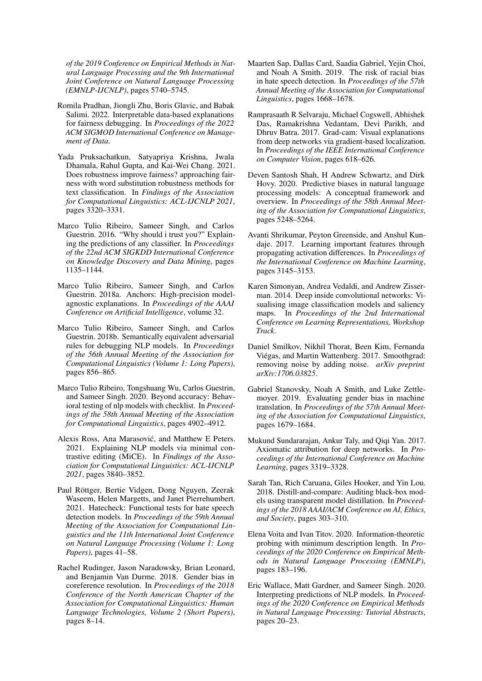*of the 2019 Conference on Empirical Methods in Natural Language Processing and the 9th International Joint Conference on Natural Language Processing (EMNLP-IJCNLP)*, pages 5740–5745.

- <span id="page-11-17"></span>Romila Pradhan, Jiongli Zhu, Boris Glavic, and Babak Salimi. 2022. Interpretable data-based explanations for fairness debugging. In *Proceedings of the 2022 ACM SIGMOD International Conference on Management of Data*.
- <span id="page-11-18"></span>Yada Pruksachatkun, Satyapriya Krishna, Jwala Dhamala, Rahul Gupta, and Kai-Wei Chang. 2021. Does robustness improve fairness? approaching fairness with word substitution robustness methods for text classification. In *Findings of the Association for Computational Linguistics: ACL-IJCNLP 2021*, pages 3320–3331.
- <span id="page-11-5"></span>Marco Tulio Ribeiro, Sameer Singh, and Carlos Guestrin. 2016. "Why should i trust you?" Explaining the predictions of any classifier. In *Proceedings of the 22nd ACM SIGKDD International Conference on Knowledge Discovery and Data Mining*, pages 1135–1144.
- <span id="page-11-8"></span>Marco Tulio Ribeiro, Sameer Singh, and Carlos Guestrin. 2018a. Anchors: High-precision modelagnostic explanations. In *Proceedings of the AAAI Conference on Artificial Intelligence*, volume 32.
- <span id="page-11-7"></span>Marco Tulio Ribeiro, Sameer Singh, and Carlos Guestrin. 2018b. Semantically equivalent adversarial rules for debugging NLP models. In *Proceedings of the 56th Annual Meeting of the Association for Computational Linguistics (Volume 1: Long Papers)*, pages 856–865.
- <span id="page-11-10"></span>Marco Tulio Ribeiro, Tongshuang Wu, Carlos Guestrin, and Sameer Singh. 2020. Beyond accuracy: Behavioral testing of nlp models with checklist. In *Proceedings of the 58th Annual Meeting of the Association for Computational Linguistics*, pages 4902–4912.
- <span id="page-11-6"></span>Alexis Ross, Ana Marasović, and Matthew E Peters. 2021. Explaining NLP models via minimal contrastive editing (MiCE). In *Findings of the Association for Computational Linguistics: ACL-IJCNLP 2021*, pages 3840–3852.
- <span id="page-11-14"></span>Paul Röttger, Bertie Vidgen, Dong Nguyen, Zeerak Waseem, Helen Margetts, and Janet Pierrehumbert. 2021. Hatecheck: Functional tests for hate speech detection models. In *Proceedings of the 59th Annual Meeting of the Association for Computational Linguistics and the 11th International Joint Conference on Natural Language Processing (Volume 1: Long Papers)*, pages 41–58.
- <span id="page-11-12"></span>Rachel Rudinger, Jason Naradowsky, Brian Leonard, and Benjamin Van Durme. 2018. Gender bias in coreference resolution. In *Proceedings of the 2018 Conference of the North American Chapter of the Association for Computational Linguistics: Human Language Technologies, Volume 2 (Short Papers)*, pages 8–14.
- <span id="page-11-16"></span>Maarten Sap, Dallas Card, Saadia Gabriel, Yejin Choi, and Noah A Smith. 2019. The risk of racial bias in hate speech detection. In *Proceedings of the 57th Annual Meeting of the Association for Computational Linguistics*, pages 1668–1678.
- <span id="page-11-11"></span>Ramprasaath R Selvaraju, Michael Cogswell, Abhishek Das, Ramakrishna Vedantam, Devi Parikh, and Dhruv Batra. 2017. Grad-cam: Visual explanations from deep networks via gradient-based localization. In *Proceedings of the IEEE International Conference on Computer Vision*, pages 618–626.
- <span id="page-11-15"></span>Deven Santosh Shah, H Andrew Schwartz, and Dirk Hovy. 2020. Predictive biases in natural language processing models: A conceptual framework and overview. In *Proceedings of the 58th Annual Meeting of the Association for Computational Linguistics*, pages 5248–5264.
- <span id="page-11-4"></span>Avanti Shrikumar, Peyton Greenside, and Anshul Kundaje. 2017. Learning important features through propagating activation differences. In *Proceedings of the International Conference on Machine Learning*, pages 3145–3153.
- <span id="page-11-1"></span>Karen Simonyan, Andrea Vedaldi, and Andrew Zisserman. 2014. Deep inside convolutional networks: Visualising image classification models and saliency maps. In *Proceedings of the 2nd International Conference on Learning Representations, Workshop Track*.
- <span id="page-11-3"></span>Daniel Smilkov, Nikhil Thorat, Been Kim, Fernanda Viégas, and Martin Wattenberg. 2017. Smoothgrad: removing noise by adding noise. *arXiv preprint arXiv:1706.03825*.
- <span id="page-11-13"></span>Gabriel Stanovsky, Noah A Smith, and Luke Zettlemoyer. 2019. Evaluating gender bias in machine translation. In *Proceedings of the 57th Annual Meeting of the Association for Computational Linguistics*, pages 1679–1684.
- <span id="page-11-2"></span>Mukund Sundararajan, Ankur Taly, and Qiqi Yan. 2017. Axiomatic attribution for deep networks. In *Proceedings of the International Conference on Machine Learning*, pages 3319–3328.
- <span id="page-11-19"></span>Sarah Tan, Rich Caruana, Giles Hooker, and Yin Lou. 2018. Distill-and-compare: Auditing black-box models using transparent model distillation. In *Proceedings of the 2018 AAAI/ACM Conference on AI, Ethics, and Society*, pages 303–310.
- <span id="page-11-9"></span>Elena Voita and Ivan Titov. 2020. Information-theoretic probing with minimum description length. In *Proceedings of the 2020 Conference on Empirical Methods in Natural Language Processing (EMNLP)*, pages 183–196.
- <span id="page-11-0"></span>Eric Wallace, Matt Gardner, and Sameer Singh. 2020. Interpreting predictions of NLP models. In *Proceedings of the 2020 Conference on Empirical Methods in Natural Language Processing: Tutorial Abstracts*, pages 20–23.